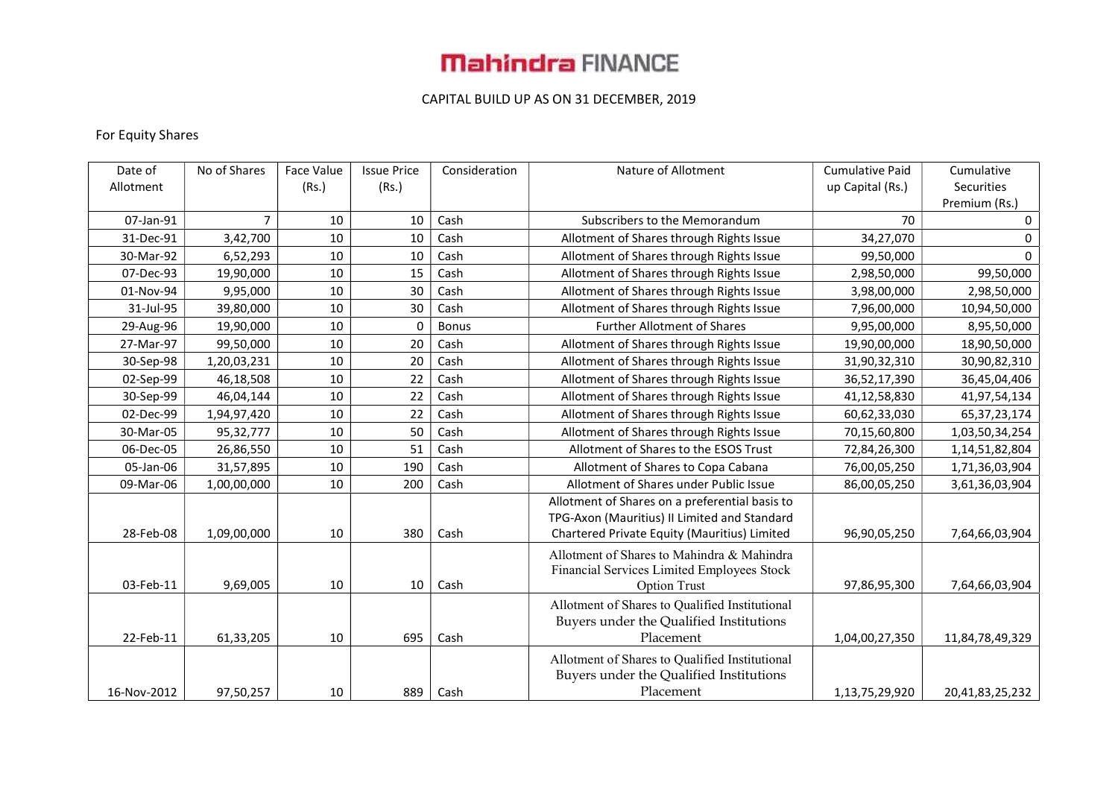### CAPITAL BUILD UP AS ON 31 DECEMBER, 2019

#### For Equity Shares

| Date of     | No of Shares | Face Value | <b>Issue Price</b> | Consideration | Nature of Allotment                            | <b>Cumulative Paid</b> | Cumulative      |
|-------------|--------------|------------|--------------------|---------------|------------------------------------------------|------------------------|-----------------|
| Allotment   |              | (Rs.)      | (Rs.)              |               |                                                | up Capital (Rs.)       | Securities      |
|             |              |            |                    |               |                                                |                        | Premium (Rs.)   |
| 07-Jan-91   | 7            | 10         | 10                 | Cash          | Subscribers to the Memorandum                  | 70                     | $\mathbf 0$     |
| 31-Dec-91   | 3,42,700     | 10         | 10                 | Cash          | Allotment of Shares through Rights Issue       | 34,27,070              | 0               |
| 30-Mar-92   | 6,52,293     | 10         | 10                 | Cash          | Allotment of Shares through Rights Issue       | 99,50,000              | $\mathbf{0}$    |
| 07-Dec-93   | 19,90,000    | 10         | 15                 | Cash          | Allotment of Shares through Rights Issue       | 2,98,50,000            | 99,50,000       |
| 01-Nov-94   | 9,95,000     | 10         | 30                 | Cash          | Allotment of Shares through Rights Issue       | 3,98,00,000            | 2,98,50,000     |
| 31-Jul-95   | 39,80,000    | 10         | 30                 | Cash          | Allotment of Shares through Rights Issue       | 7,96,00,000            | 10,94,50,000    |
| 29-Aug-96   | 19,90,000    | 10         | 0                  | <b>Bonus</b>  | <b>Further Allotment of Shares</b>             | 9,95,00,000            | 8,95,50,000     |
| 27-Mar-97   | 99,50,000    | 10         | 20                 | Cash          | Allotment of Shares through Rights Issue       | 19,90,00,000           | 18,90,50,000    |
| 30-Sep-98   | 1,20,03,231  | 10         | 20                 | Cash          | Allotment of Shares through Rights Issue       | 31,90,32,310           | 30,90,82,310    |
| 02-Sep-99   | 46,18,508    | 10         | 22                 | Cash          | Allotment of Shares through Rights Issue       | 36,52,17,390           | 36,45,04,406    |
| 30-Sep-99   | 46,04,144    | 10         | 22                 | Cash          | Allotment of Shares through Rights Issue       | 41,12,58,830           | 41,97,54,134    |
| 02-Dec-99   | 1,94,97,420  | 10         | 22                 | Cash          | Allotment of Shares through Rights Issue       | 60,62,33,030           | 65, 37, 23, 174 |
| 30-Mar-05   | 95,32,777    | 10         | 50                 | Cash          | Allotment of Shares through Rights Issue       | 70,15,60,800           | 1,03,50,34,254  |
| 06-Dec-05   | 26,86,550    | 10         | 51                 | Cash          | Allotment of Shares to the ESOS Trust          | 72,84,26,300           | 1,14,51,82,804  |
| 05-Jan-06   | 31,57,895    | 10         | 190                | Cash          | Allotment of Shares to Copa Cabana             | 76,00,05,250           | 1,71,36,03,904  |
| 09-Mar-06   | 1,00,00,000  | 10         | 200                | Cash          | Allotment of Shares under Public Issue         | 86,00,05,250           | 3,61,36,03,904  |
|             |              |            |                    |               | Allotment of Shares on a preferential basis to |                        |                 |
|             |              |            |                    |               | TPG-Axon (Mauritius) II Limited and Standard   |                        |                 |
| 28-Feb-08   | 1,09,00,000  | 10         | 380                | Cash          | Chartered Private Equity (Mauritius) Limited   | 96,90,05,250           | 7,64,66,03,904  |
|             |              |            |                    |               | Allotment of Shares to Mahindra & Mahindra     |                        |                 |
|             |              |            |                    |               | Financial Services Limited Employees Stock     |                        |                 |
| 03-Feb-11   | 9,69,005     | 10         | 10                 | Cash          | <b>Option Trust</b>                            | 97,86,95,300           | 7,64,66,03,904  |
|             |              |            |                    |               | Allotment of Shares to Qualified Institutional |                        |                 |
|             |              |            |                    |               | Buyers under the Qualified Institutions        |                        |                 |
| 22-Feb-11   | 61,33,205    | 10         | 695                | Cash          | Placement                                      | 1,04,00,27,350         | 11,84,78,49,329 |
|             |              |            |                    |               | Allotment of Shares to Qualified Institutional |                        |                 |
|             |              |            |                    |               | Buyers under the Qualified Institutions        |                        |                 |
| 16-Nov-2012 | 97,50,257    | 10         | 889                | Cash          | Placement                                      | 1,13,75,29,920         | 20,41,83,25,232 |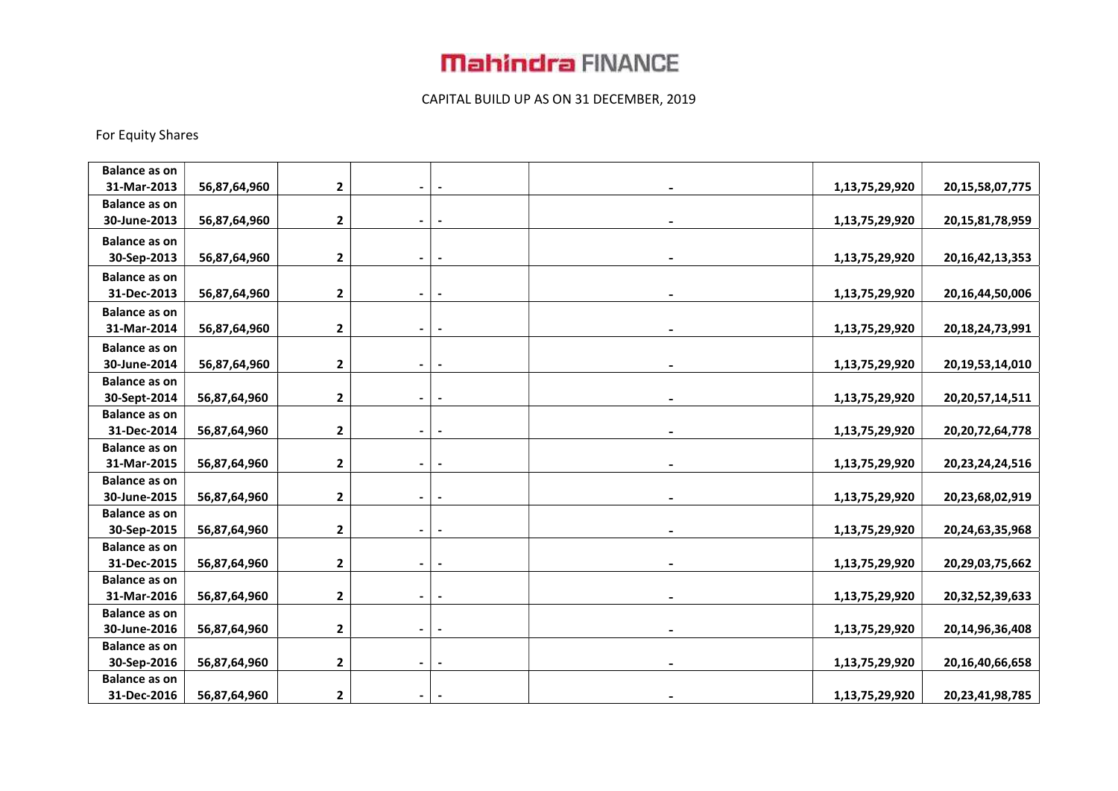### CAPITAL BUILD UP AS ON 31 DECEMBER, 2019

### For Equity Shares

| <b>Balance as on</b> |              |                         |                |                |                |                     |
|----------------------|--------------|-------------------------|----------------|----------------|----------------|---------------------|
| 31-Mar-2013          | 56,87,64,960 | $\mathbf 2$             |                |                | 1,13,75,29,920 | 20, 15, 58, 07, 775 |
| <b>Balance as on</b> |              |                         |                |                |                |                     |
| 30-June-2013         | 56,87,64,960 | $\mathbf 2$             | $\blacksquare$ |                | 1,13,75,29,920 | 20, 15, 81, 78, 959 |
| <b>Balance as on</b> |              |                         |                |                |                |                     |
| 30-Sep-2013          | 56,87,64,960 | 2                       | $\blacksquare$ | $\blacksquare$ | 1,13,75,29,920 | 20, 16, 42, 13, 353 |
| <b>Balance as on</b> |              |                         |                |                |                |                     |
| 31-Dec-2013          | 56,87,64,960 | $\mathbf{2}$            | $\blacksquare$ |                | 1,13,75,29,920 | 20, 16, 44, 50, 006 |
| <b>Balance as on</b> |              |                         |                |                |                |                     |
| 31-Mar-2014          | 56,87,64,960 | $\mathbf 2$             |                |                | 1,13,75,29,920 | 20, 18, 24, 73, 991 |
| <b>Balance as on</b> |              |                         |                |                |                |                     |
| 30-June-2014         | 56,87,64,960 | 2                       |                |                | 1,13,75,29,920 | 20, 19, 53, 14, 010 |
| <b>Balance as on</b> |              |                         |                |                |                |                     |
| 30-Sept-2014         | 56,87,64,960 | $\mathbf{2}$            |                |                | 1,13,75,29,920 | 20, 20, 57, 14, 511 |
| <b>Balance as on</b> |              |                         |                |                |                |                     |
| 31-Dec-2014          | 56,87,64,960 | $\mathbf 2$             |                |                | 1,13,75,29,920 | 20, 20, 72, 64, 778 |
| <b>Balance as on</b> |              |                         |                |                |                |                     |
| 31-Mar-2015          | 56,87,64,960 | $\mathbf{2}$            |                |                | 1,13,75,29,920 | 20, 23, 24, 24, 516 |
| <b>Balance as on</b> |              |                         |                |                |                |                     |
| 30-June-2015         | 56,87,64,960 | $\mathbf{2}$            | $\blacksquare$ |                | 1,13,75,29,920 | 20,23,68,02,919     |
| <b>Balance as on</b> |              |                         |                |                |                |                     |
| 30-Sep-2015          | 56,87,64,960 | $\mathbf 2$             |                |                | 1,13,75,29,920 | 20,24,63,35,968     |
| <b>Balance as on</b> |              |                         |                |                |                |                     |
| 31-Dec-2015          | 56,87,64,960 | $\overline{\mathbf{2}}$ |                |                | 1,13,75,29,920 | 20,29,03,75,662     |
| <b>Balance as on</b> |              |                         |                |                |                |                     |
| 31-Mar-2016          | 56,87,64,960 | $\mathbf 2$             |                |                | 1,13,75,29,920 | 20, 32, 52, 39, 633 |
| <b>Balance as on</b> |              |                         |                |                |                |                     |
| 30-June-2016         | 56,87,64,960 | $\mathbf{2}$            |                |                | 1,13,75,29,920 | 20,14,96,36,408     |
| <b>Balance as on</b> |              |                         |                |                |                |                     |
| 30-Sep-2016          | 56,87,64,960 | $\mathbf{2}$            |                |                | 1,13,75,29,920 | 20, 16, 40, 66, 658 |
| <b>Balance as on</b> |              |                         |                |                |                |                     |
| 31-Dec-2016          | 56,87,64,960 | $\mathbf{2}$            |                |                | 1,13,75,29,920 | 20, 23, 41, 98, 785 |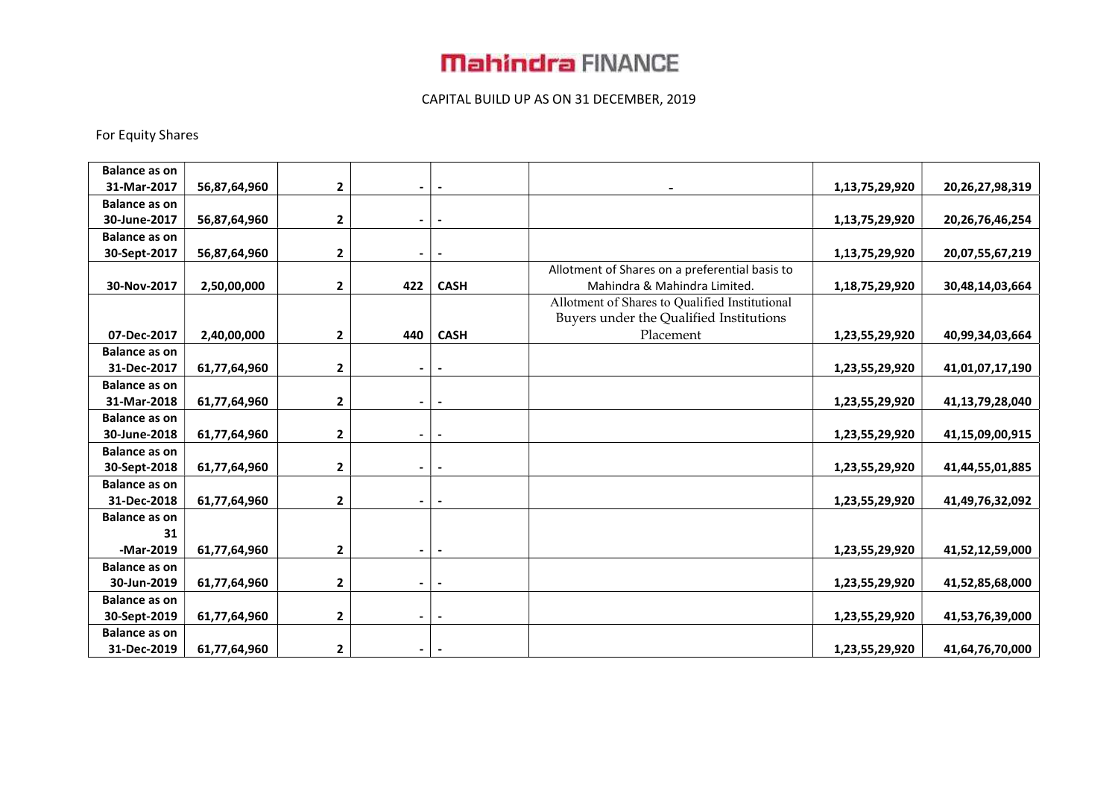### CAPITAL BUILD UP AS ON 31 DECEMBER, 2019

### For Equity Shares

| <b>Balance as on</b> |              |              |                          |                          |                                                |                |                     |
|----------------------|--------------|--------------|--------------------------|--------------------------|------------------------------------------------|----------------|---------------------|
| 31-Mar-2017          | 56,87,64,960 | 2            | -                        |                          |                                                | 1,13,75,29,920 | 20, 26, 27, 98, 319 |
| <b>Balance as on</b> |              |              |                          |                          |                                                |                |                     |
| 30-June-2017         | 56,87,64,960 | 2            | $\overline{\phantom{0}}$ |                          |                                                | 1,13,75,29,920 | 20, 26, 76, 46, 254 |
| <b>Balance as on</b> |              |              |                          |                          |                                                |                |                     |
| 30-Sept-2017         | 56,87,64,960 | 2            | $\overline{\phantom{0}}$ |                          |                                                | 1,13,75,29,920 | 20,07,55,67,219     |
|                      |              |              |                          |                          | Allotment of Shares on a preferential basis to |                |                     |
| 30-Nov-2017          | 2,50,00,000  | $\mathbf{2}$ | 422                      | <b>CASH</b>              | Mahindra & Mahindra Limited.                   | 1,18,75,29,920 | 30,48,14,03,664     |
|                      |              |              |                          |                          | Allotment of Shares to Qualified Institutional |                |                     |
|                      |              |              |                          |                          | Buyers under the Qualified Institutions        |                |                     |
| 07-Dec-2017          | 2,40,00,000  | $\mathbf{2}$ | 440                      | <b>CASH</b>              | Placement                                      | 1,23,55,29,920 | 40,99,34,03,664     |
| <b>Balance as on</b> |              |              |                          |                          |                                                |                |                     |
| 31-Dec-2017          | 61,77,64,960 | $\mathbf{2}$ | $\overline{\phantom{0}}$ | $\blacksquare$           |                                                | 1,23,55,29,920 | 41,01,07,17,190     |
| <b>Balance as on</b> |              |              |                          |                          |                                                |                |                     |
| 31-Mar-2018          | 61,77,64,960 | $\mathbf{2}$ | $\overline{\phantom{0}}$ | $\overline{\phantom{a}}$ |                                                | 1,23,55,29,920 | 41,13,79,28,040     |
| <b>Balance as on</b> |              |              |                          |                          |                                                |                |                     |
| 30-June-2018         | 61,77,64,960 | $\mathbf{2}$ | $\overline{\phantom{0}}$ | $\blacksquare$           |                                                | 1,23,55,29,920 | 41,15,09,00,915     |
| <b>Balance as on</b> |              |              |                          |                          |                                                |                |                     |
| 30-Sept-2018         | 61,77,64,960 | $\mathbf{2}$ | -                        |                          |                                                | 1,23,55,29,920 | 41,44,55,01,885     |
| <b>Balance as on</b> |              |              |                          |                          |                                                |                |                     |
| 31-Dec-2018          | 61,77,64,960 | $\mathbf{2}$ | -                        |                          |                                                | 1,23,55,29,920 | 41,49,76,32,092     |
| <b>Balance as on</b> |              |              |                          |                          |                                                |                |                     |
| 31                   |              |              |                          |                          |                                                |                |                     |
| -Mar-2019            | 61,77,64,960 | $\mathbf{2}$ | $\overline{\phantom{0}}$ | $\overline{\phantom{a}}$ |                                                | 1,23,55,29,920 | 41,52,12,59,000     |
| <b>Balance as on</b> |              |              |                          |                          |                                                |                |                     |
| 30-Jun-2019          | 61,77,64,960 | $\mathbf{2}$ | $\blacksquare$           |                          |                                                | 1,23,55,29,920 | 41,52,85,68,000     |
| <b>Balance as on</b> |              |              |                          |                          |                                                |                |                     |
| 30-Sept-2019         | 61,77,64,960 | $\mathbf{2}$ | $\blacksquare$           | $\overline{\phantom{a}}$ |                                                | 1,23,55,29,920 | 41,53,76,39,000     |
| <b>Balance as on</b> |              |              |                          |                          |                                                |                |                     |
| 31-Dec-2019          | 61,77,64,960 | $\mathbf{2}$ | $\blacksquare$           |                          |                                                | 1,23,55,29,920 | 41,64,76,70,000     |